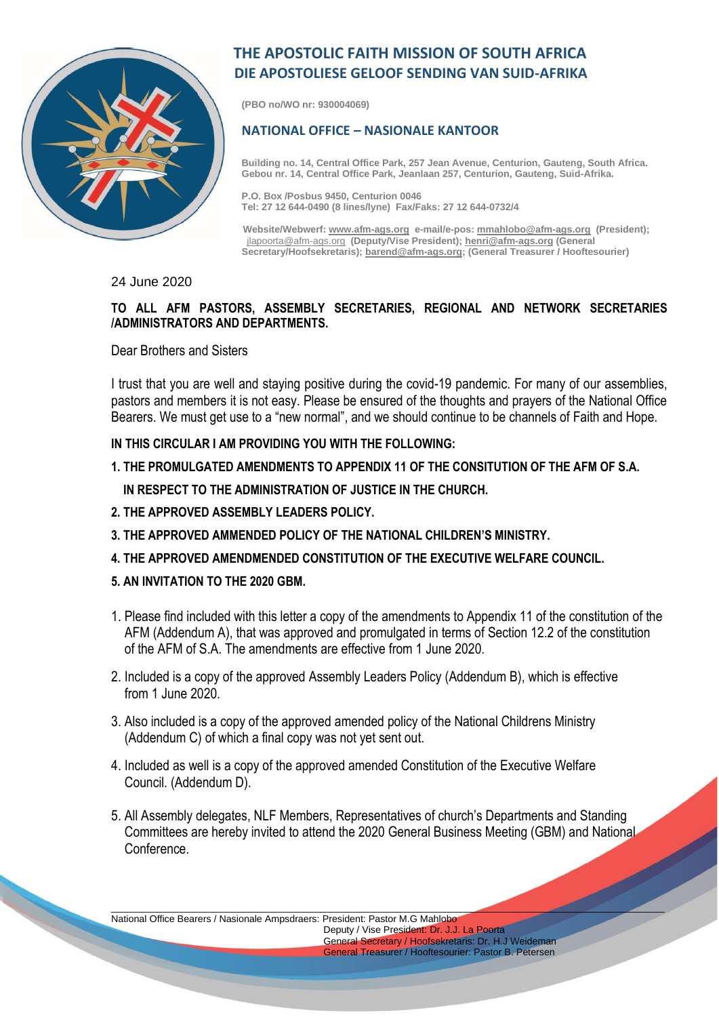

## **THE APOSTOLIC FAITH MISSION OF SOUTH AFRICA DIE APOSTOLIESE GELOOF SENDING VAN SUID-AFRIKA**

**(PBO no/WO nr: 930004069)**

## **NATIONAL OFFICE – NASIONALE KANTOOR**

**Building no. 14, Central Office Park, 257 Jean Avenue, Centurion, Gauteng, South Africa. Gebou nr. 14, Central Office Park, Jeanlaan 257, Centurion, Gauteng, Suid-Afrika.**

**P.O. Box /Posbus 9450, Centurion 0046 Tel: 27 12 644-0490 (8 lines/lyne) Fax/Faks: 27 12 644-0732/4**

 **Website/Webwerf[: www.afm-ags.org](http://www.afm-ags.org/) e-mail/e-pos[: mmahlobo@afm-ags.org](mailto:mmahlobo@afm-ags.org) (President);** [jlapoorta@afm-ags.org](mailto:jlapoorta@afm-ags.org) **(Deputy/Vise President); [henri@afm-ags.org](mailto:henri@afm-ags.org) (General Secretary/Hoofsekretaris)[; barend@afm-ags.org;](mailto:barend@afm-ags.org) (General Treasurer / Hooftesourier)**

24 June 2020

## **TO ALL AFM PASTORS, ASSEMBLY SECRETARIES, REGIONAL AND NETWORK SECRETARIES /ADMINISTRATORS AND DEPARTMENTS.**

Dear Brothers and Sisters

I trust that you are well and staying positive during the covid-19 pandemic. For many of our assemblies, pastors and members it is not easy. Please be ensured of the thoughts and prayers of the National Office Bearers. We must get use to a "new normal", and we should continue to be channels of Faith and Hope.

**IN THIS CIRCULAR I AM PROVIDING YOU WITH THE FOLLOWING:** 

- **1..THE PROMULGATED AMENDMENTS TO APPENDIX 11 OF THE CONSITUTION OF THE AFM OF S.A. IN RESPECT TO THE ADMINISTRATION OF JUSTICE IN THE CHURCH.**
- **2. THE APPROVED ASSEMBLY LEADERS POLICY.**
- **3. THE APPROVED AMMENDED POLICY OF THE NATIONAL CHILDREN'S MINISTRY.**
- **4. THE APPROVED AMENDMENDED CONSTITUTION OF THE EXECUTIVE WELFARE COUNCIL.**
- **5. AN INVITATION TO THE 2020 GBM.**
- 1. Please find included with this letter a copy of the amendments to Appendix 11 of the constitution of the AFM (Addendum A), that was approved and promulgated in terms of Section 12.2 of the constitution of the AFM of S.A. The amendments are effective from 1 June 2020.
- 2. Included is a copy of the approved Assembly Leaders Policy (Addendum B), which is effective from 1 June 2020.
- 3. Also included is a copy of the approved amended policy of the National Childrens Ministry (Addendum C) of which a final copy was not yet sent out.
- 4. Included as well is a copy of the approved amended Constitution of the Executive Welfare Council. (Addendum D).
- 5. All Assembly delegates, NLF Members, Representatives of church's Departments and Standing Committees are hereby invited to attend the 2020 General Business Meeting (GBM) and National **Conference**

\_\_\_\_\_\_\_\_\_\_\_\_\_\_\_\_\_\_\_\_\_\_\_\_\_\_\_\_\_\_\_\_\_\_\_\_\_\_\_\_\_\_\_\_\_\_\_\_\_\_\_\_\_\_\_\_\_\_\_\_\_\_\_\_\_\_\_\_\_\_\_\_\_\_\_\_\_\_\_\_\_\_\_\_\_\_\_\_\_\_\_\_\_\_\_\_\_\_\_\_\_\_\_

National Office Bearers / Nasionale Ampsdraers: President: Pastor M.G Mahlobo

 Deputy / Vise President: Dr. J.J. La Poorta General Secretary / Hoofsekretaris: Dr. H.J Weideman General Treasurer / Hooftesourier: Pastor B. Petersen